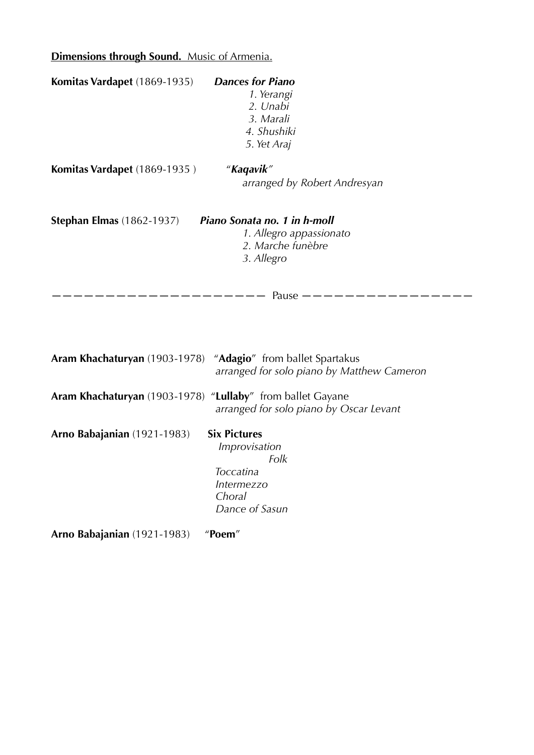## **Dimensions through Sound.** Music of Armenia.

| Komitas Vardapet (1869-1935) Dances for Piano                 | 1. Yerangi<br>2. Unabi<br>3. Marali<br>4. Shushiki<br>5. Yet Araj |
|---------------------------------------------------------------|-------------------------------------------------------------------|
| <b>Komitas Vardapet</b> (1869-1935)                           | "Kaqavik"<br>arranged by Robert Andresyan                         |
| Stephan Elmas (1862-1937) <i>Piano Sonata no. 1 in h-moll</i> | 1. Allegro appassionato<br>2. Marche funèbre<br>3. Allegro        |
|                                                               |                                                                   |
| Aram Khachaturyan (1903-1978) "Adagio" from ballet Spartakus  | arranged for solo piano by Matthew Cameron                        |

**Aram Khachaturyan** (1903-1978) "**Lullaby**" from ballet Gayane  *arranged for solo piano by Oscar Levant* 

**Arno Babajanian** (1921-1983) **Six Pictures**

 *Improvisation Folk Toccatina Intermezzo Choral Dance of Sasun* 

**Arno Babajanian** (1921-1983) "**Poem**"